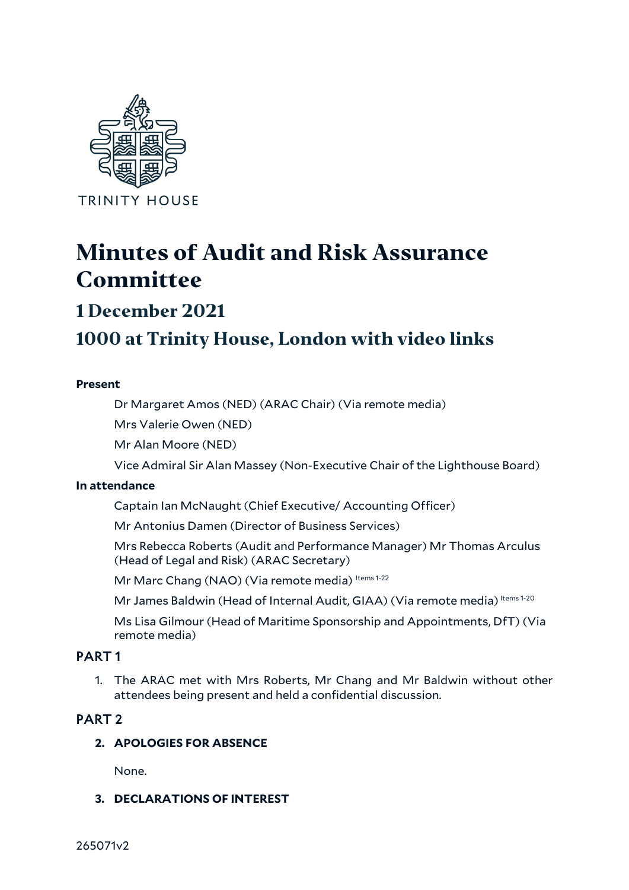

# **Minutes of Audit and Risk Assurance Committee**

## **1 December 2021**

## **1000 at Trinity House, London with video links**

## **Present**

Dr Margaret Amos (NED) (ARAC Chair) (Via remote media)

Mrs Valerie Owen (NED)

Mr Alan Moore (NED)

Vice Admiral Sir Alan Massey (Non-Executive Chair of the Lighthouse Board)

## **In attendance**

Captain Ian McNaught (Chief Executive/ Accounting Officer)

Mr Antonius Damen (Director of Business Services)

Mrs Rebecca Roberts (Audit and Performance Manager) Mr Thomas Arculus (Head of Legal and Risk) (ARAC Secretary)

Mr Marc Chang (NAO) (Via remote media) Items 1-22

Mr James Baldwin (Head of Internal Audit, GIAA) (Via remote media) Items 1-20

Ms Lisa Gilmour (Head of Maritime Sponsorship and Appointments, DfT) (Via remote media)

## PART 1

1. The ARAC met with Mrs Roberts, Mr Chang and Mr Baldwin without other attendees being present and held a confidential discussion.

## PART 2

## **2. APOLOGIES FOR ABSENCE**

None.

**3. DECLARATIONS OF INTEREST**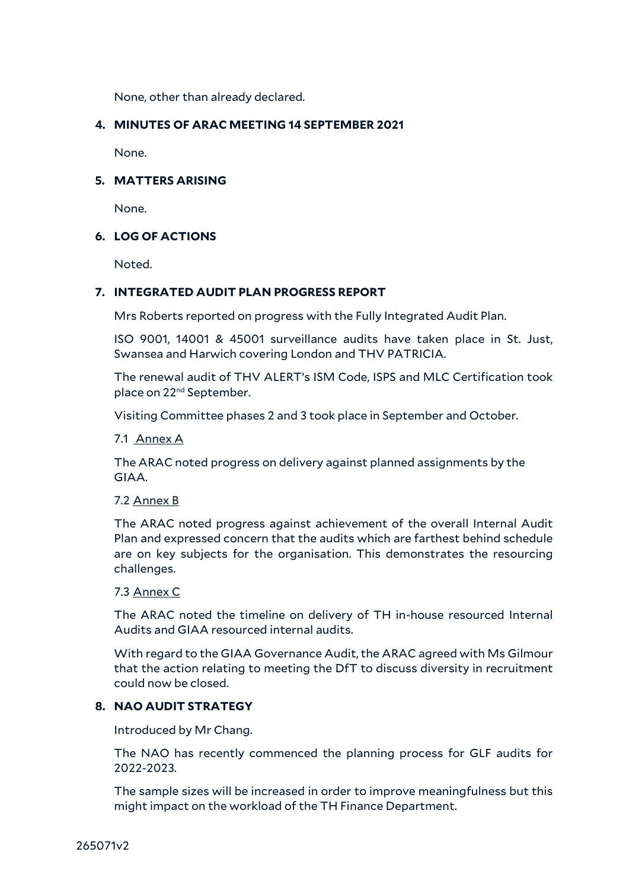None, other than already declared.

## **4. MINUTES OF ARAC MEETING 14 SEPTEMBER 2021**

None.

#### **5. MATTERS ARISING**

None.

## **6. LOG OF ACTIONS**

Noted.

## **7. INTEGRATED AUDIT PLAN PROGRESS REPORT**

Mrs Roberts reported on progress with the Fully Integrated Audit Plan.

ISO 9001, 14001 & 45001 surveillance audits have taken place in St. Just, Swansea and Harwich covering London and THV PATRICIA.

The renewal audit of THV ALERT's ISM Code, ISPS and MLC Certification took place on 22<sup>nd</sup> September.

Visiting Committee phases 2 and 3 took place in September and October.

7.1 Annex A

The ARAC noted progress on delivery against planned assignments by the GIAA.

#### 7.2 Annex B

The ARAC noted progress against achievement of the overall Internal Audit Plan and expressed concern that the audits which are farthest behind schedule are on key subjects for the organisation. This demonstrates the resourcing challenges.

#### 7.3 Annex C

The ARAC noted the timeline on delivery of TH in-house resourced Internal Audits and GIAA resourced internal audits.

With regard to the GIAA Governance Audit, the ARAC agreed with Ms Gilmour that the action relating to meeting the DfT to discuss diversity in recruitment could now be closed.

## **8. NAO AUDIT STRATEGY**

Introduced by Mr Chang.

The NAO has recently commenced the planning process for GLF audits for 2022-2023.

The sample sizes will be increased in order to improve meaningfulness but this might impact on the workload of the TH Finance Department.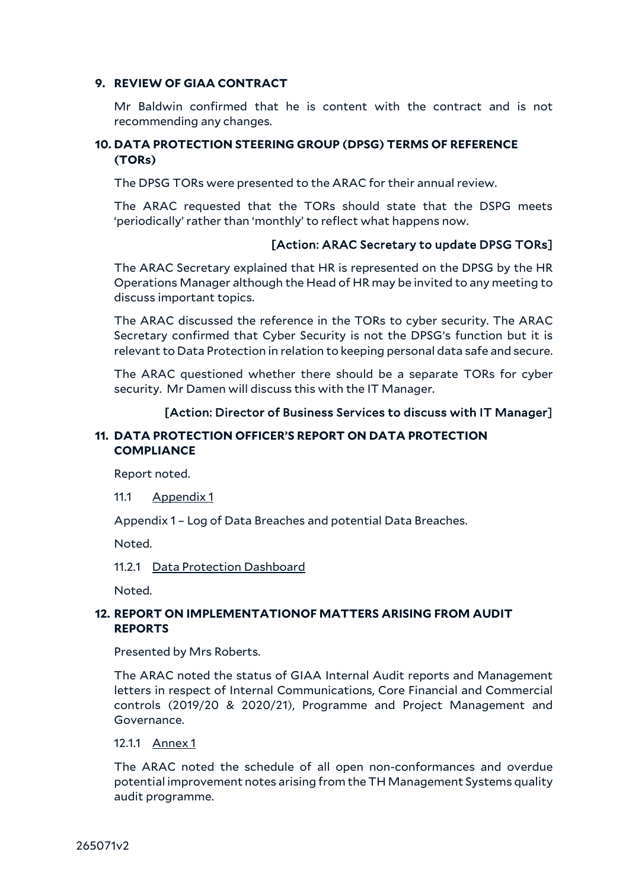#### **9. REVIEW OF GIAA CONTRACT**

Mr Baldwin confirmed that he is content with the contract and is not recommending any changes.

## **10. DATA PROTECTION STEERING GROUP (DPSG) TERMS OF REFERENCE (TORs)**

The DPSG TORs were presented to the ARAC for their annual review.

The ARAC requested that the TORs should state that the DSPG meets 'periodically' rather than 'monthly' to reflect what happens now.

## [Action: ARAC Secretary to update DPSG TORs]

The ARAC Secretary explained that HR is represented on the DPSG by the HR Operations Manager although the Head of HR may be invited to any meeting to discuss important topics.

The ARAC discussed the reference in the TORs to cyber security. The ARAC Secretary confirmed that Cyber Security is not the DPSG's function but it is relevant to Data Protection in relation to keeping personal data safe and secure.

The ARAC questioned whether there should be a separate TORs for cyber security. Mr Damen will discuss this with the IT Manager.

## [Action: Director of Business Services to discuss with IT Manager]

## **11. DATA PROTECTION OFFICER'S REPORT ON DATA PROTECTION COMPLIANCE**

Report noted.

11.1 Appendix 1

Appendix 1 – Log of Data Breaches and potential Data Breaches.

Noted.

11.2.1 Data Protection Dashboard

Noted.

## **12. REPORT ON IMPLEMENTATIONOF MATTERS ARISING FROM AUDIT REPORTS**

Presented by Mrs Roberts.

The ARAC noted the status of GIAA Internal Audit reports and Management letters in respect of Internal Communications, Core Financial and Commercial controls (2019/20 & 2020/21), Programme and Project Management and Governance.

#### 12.1.1 Annex 1

The ARAC noted the schedule of all open non-conformances and overdue potential improvement notes arising from the TH Management Systems quality audit programme.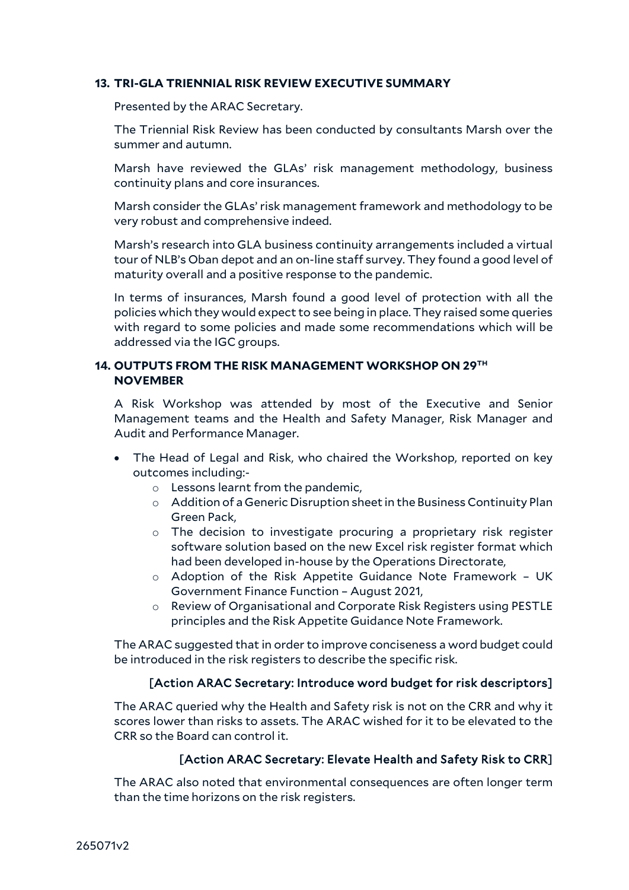## **13. TRI-GLA TRIENNIAL RISK REVIEW EXECUTIVE SUMMARY**

Presented by the ARAC Secretary.

The Triennial Risk Review has been conducted by consultants Marsh over the summer and autumn.

Marsh have reviewed the GLAs' risk management methodology, business continuity plans and core insurances.

Marsh consider the GLAs' risk management framework and methodology to be very robust and comprehensive indeed.

Marsh's research into GLA business continuity arrangements included a virtual tour of NLB's Oban depot and an on-line staff survey. They found a good level of maturity overall and a positive response to the pandemic.

In terms of insurances, Marsh found a good level of protection with all the policies which they would expect to see being in place. They raised some queries with regard to some policies and made some recommendations which will be addressed via the IGC groups.

## **14. OUTPUTS FROM THE RISK MANAGEMENT WORKSHOP ON 29TH NOVEMBER**

A Risk Workshop was attended by most of the Executive and Senior Management teams and the Health and Safety Manager, Risk Manager and Audit and Performance Manager.

- The Head of Legal and Risk, who chaired the Workshop, reported on key outcomes including:
	- o Lessons learnt from the pandemic,
	- o Addition of a Generic Disruption sheet in the Business Continuity Plan Green Pack,
	- o The decision to investigate procuring a proprietary risk register software solution based on the new Excel risk register format which had been developed in-house by the Operations Directorate,
	- o Adoption of the Risk Appetite Guidance Note Framework UK Government Finance Function – August 2021,
	- o Review of Organisational and Corporate Risk Registers using PESTLE principles and the Risk Appetite Guidance Note Framework.

The ARAC suggested that in order to improve conciseness a word budget could be introduced in the risk registers to describe the specific risk.

## [Action ARAC Secretary: Introduce word budget for risk descriptors]

The ARAC queried why the Health and Safety risk is not on the CRR and why it scores lower than risks to assets. The ARAC wished for it to be elevated to the CRR so the Board can control it.

## [Action ARAC Secretary: Elevate Health and Safety Risk to CRR]

The ARAC also noted that environmental consequences are often longer term than the time horizons on the risk registers.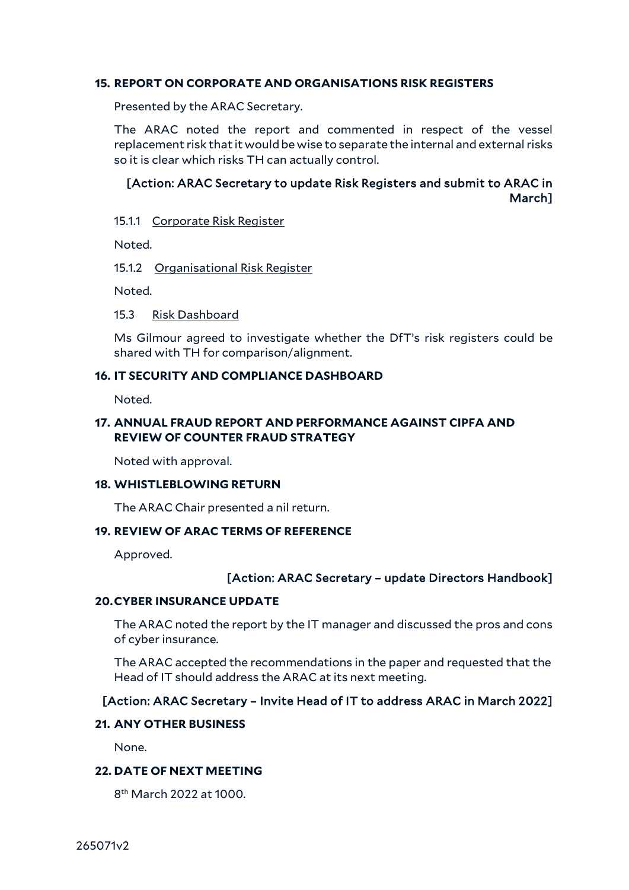#### **15. REPORT ON CORPORATE AND ORGANISATIONS RISK REGISTERS**

Presented by the ARAC Secretary.

The ARAC noted the report and commented in respect of the vessel replacement risk that it would be wise to separate the internal and external risks so it is clear which risks TH can actually control.

## [Action: ARAC Secretary to update Risk Registers and submit to ARAC in March]

15.1.1 Corporate Risk Register

Noted.

15.1.2 Organisational Risk Register

Noted.

15.3 Risk Dashboard

Ms Gilmour agreed to investigate whether the DfT's risk registers could be shared with TH for comparison/alignment.

#### **16. IT SECURITY AND COMPLIANCE DASHBOARD**

Noted.

## **17. ANNUAL FRAUD REPORT AND PERFORMANCE AGAINST CIPFA AND REVIEW OF COUNTER FRAUD STRATEGY**

Noted with approval.

#### **18. WHISTLEBLOWING RETURN**

The ARAC Chair presented a nil return.

## **19. REVIEW OF ARAC TERMS OF REFERENCE**

Approved.

#### [Action: ARAC Secretary – update Directors Handbook]

#### **20.CYBER INSURANCE UPDATE**

The ARAC noted the report by the IT manager and discussed the pros and cons of cyber insurance.

The ARAC accepted the recommendations in the paper and requested that the Head of IT should address the ARAC at its next meeting.

#### [Action: ARAC Secretary – Invite Head of IT to address ARAC in March 2022]

#### **21. ANY OTHER BUSINESS**

None.

## **22. DATE OF NEXT MEETING**

8th March 2022 at 1000.